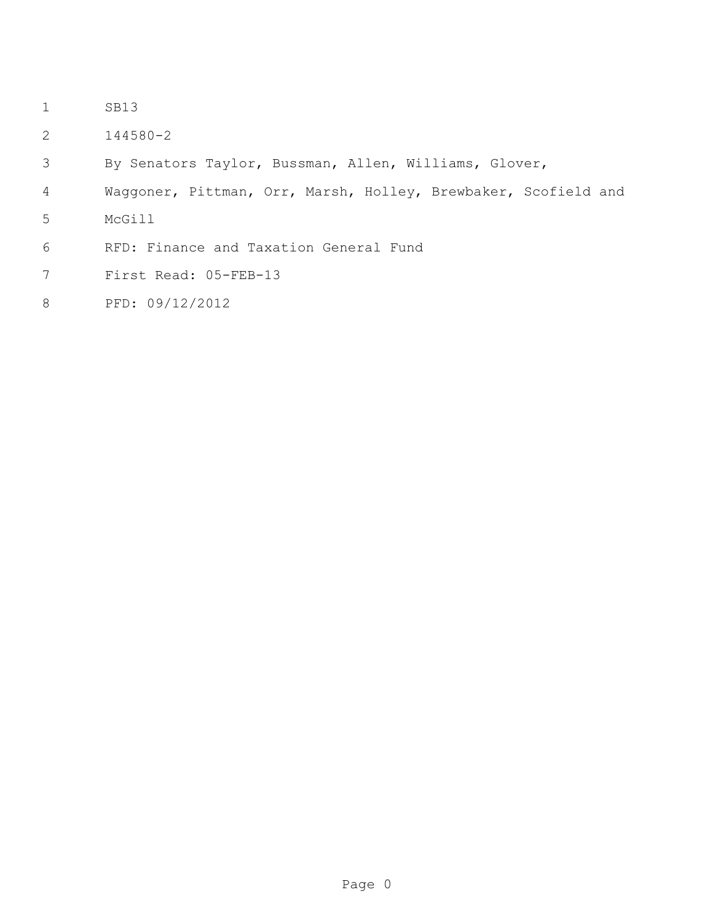- SB13
- 144580-2
- By Senators Taylor, Bussman, Allen, Williams, Glover,
- Waggoner, Pittman, Orr, Marsh, Holley, Brewbaker, Scofield and
- McGill
- RFD: Finance and Taxation General Fund
- First Read: 05-FEB-13
- PFD: 09/12/2012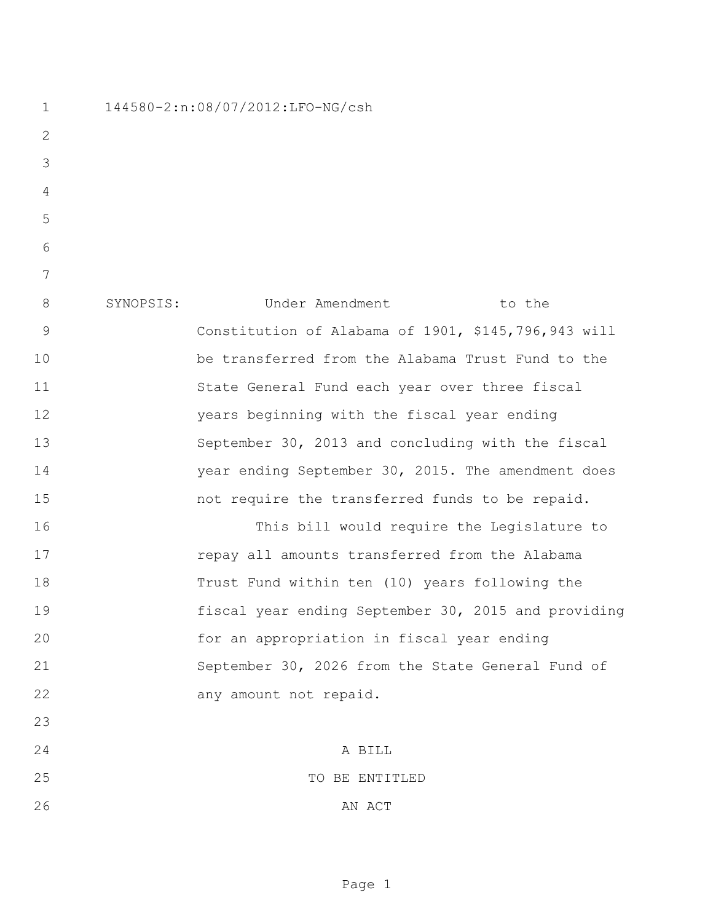144580-2:n:08/07/2012:LFO-NG/csh

8 SYNOPSIS: Under Amendment to the Constitution of Alabama of 1901, \$145,796,943 will be transferred from the Alabama Trust Fund to the State General Fund each year over three fiscal years beginning with the fiscal year ending September 30, 2013 and concluding with the fiscal year ending September 30, 2015. The amendment does not require the transferred funds to be repaid. This bill would require the Legislature to repay all amounts transferred from the Alabama Trust Fund within ten (10) years following the fiscal year ending September 30, 2015 and providing for an appropriation in fiscal year ending September 30, 2026 from the State General Fund of

22 any amount not repaid. A BILL TO BE ENTITLED 26 AN ACT